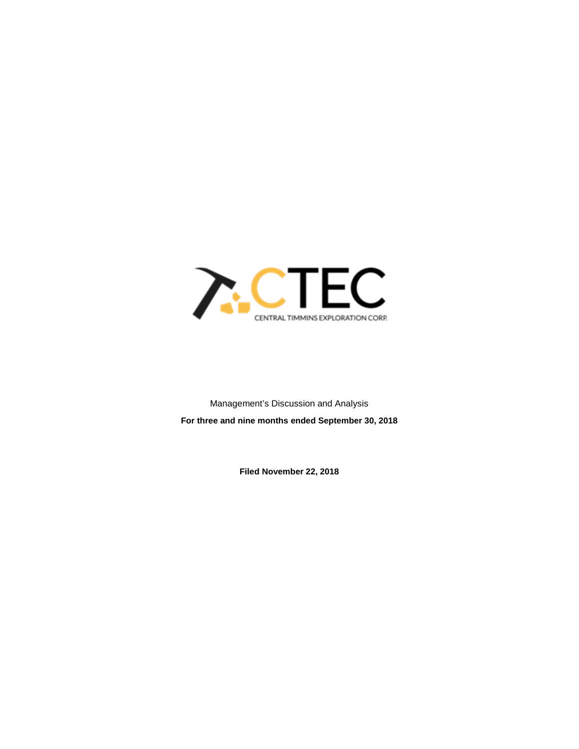

Management's Discussion and Analysis **For three and nine months ended September 30, 2018**

**Filed November 22, 2018**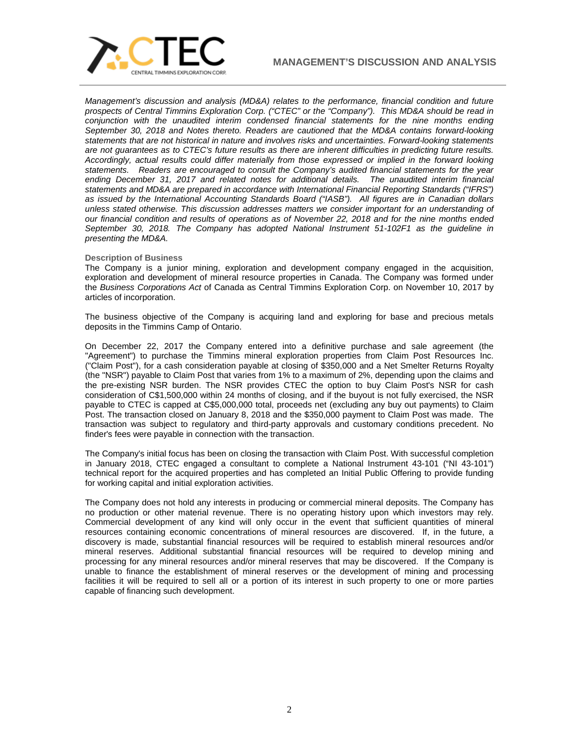

*Management's discussion and analysis (MD&A) relates to the performance, financial condition and future prospects of Central Timmins Exploration Corp. ("CTEC" or the "Company"). This MD&A should be read in conjunction with the unaudited interim condensed financial statements for the nine months ending September 30, 2018 and Notes thereto. Readers are cautioned that the MD&A contains forward-looking statements that are not historical in nature and involves risks and uncertainties. Forward-looking statements are not guarantees as to CTEC's future results as there are inherent difficulties in predicting future results. Accordingly, actual results could differ materially from those expressed or implied in the forward looking statements. Readers are encouraged to consult the Company's audited financial statements for the year ending December 31, 2017 and related notes for additional details. The unaudited interim financial statements and MD&A are prepared in accordance with International Financial Reporting Standards ("IFRS") as issued by the International Accounting Standards Board ("IASB"). All figures are in Canadian dollars unless stated otherwise. This discussion addresses matters we consider important for an understanding of our financial condition and results of operations as of November 22, 2018 and for the nine months ended September 30, 2018. The Company has adopted National Instrument 51-102F1 as the guideline in presenting the MD&A.*

## **Description of Business**

The Company is a junior mining, exploration and development company engaged in the acquisition, exploration and development of mineral resource properties in Canada. The Company was formed under the *Business Corporations Act* of Canada as Central Timmins Exploration Corp. on November 10, 2017 by articles of incorporation.

The business objective of the Company is acquiring land and exploring for base and precious metals deposits in the Timmins Camp of Ontario.

On December 22, 2017 the Company entered into a definitive purchase and sale agreement (the "Agreement") to purchase the Timmins mineral exploration properties from Claim Post Resources Inc. ("Claim Post"), for a cash consideration payable at closing of \$350,000 and a Net Smelter Returns Royalty (the "NSR") payable to Claim Post that varies from 1% to a maximum of 2%, depending upon the claims and the pre-existing NSR burden. The NSR provides CTEC the option to buy Claim Post's NSR for cash consideration of C\$1,500,000 within 24 months of closing, and if the buyout is not fully exercised, the NSR payable to CTEC is capped at C\$5,000,000 total, proceeds net (excluding any buy out payments) to Claim Post. The transaction closed on January 8, 2018 and the \$350,000 payment to Claim Post was made. The transaction was subject to regulatory and third-party approvals and customary conditions precedent. No finder's fees were payable in connection with the transaction.

The Company's initial focus has been on closing the transaction with Claim Post. With successful completion in January 2018, CTEC engaged a consultant to complete a National Instrument 43-101 ("NI 43-101") technical report for the acquired properties and has completed an Initial Public Offering to provide funding for working capital and initial exploration activities.

The Company does not hold any interests in producing or commercial mineral deposits. The Company has no production or other material revenue. There is no operating history upon which investors may rely. Commercial development of any kind will only occur in the event that sufficient quantities of mineral resources containing economic concentrations of mineral resources are discovered. If, in the future, a discovery is made, substantial financial resources will be required to establish mineral resources and/or mineral reserves. Additional substantial financial resources will be required to develop mining and processing for any mineral resources and/or mineral reserves that may be discovered. If the Company is unable to finance the establishment of mineral reserves or the development of mining and processing facilities it will be required to sell all or a portion of its interest in such property to one or more parties capable of financing such development.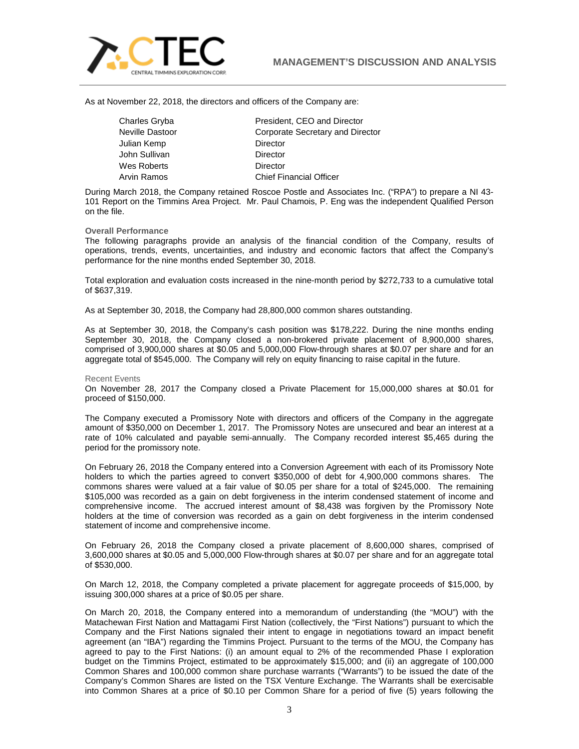

As at November 22, 2018, the directors and officers of the Company are:

| Charles Gryba   |  |
|-----------------|--|
| Neville Dastoor |  |
| Julian Kemp     |  |
| John Sullivan   |  |
| Wes Roberts     |  |
| Anjn Domoo      |  |

President, CEO and Director Corporate Secretary and Director Director Director Director Arvin Ramos Chief Financial Officer

During March 2018, the Company retained Roscoe Postle and Associates Inc. ("RPA") to prepare a NI 43- 101 Report on the Timmins Area Project. Mr. Paul Chamois, P. Eng was the independent Qualified Person on the file.

#### **Overall Performance**

The following paragraphs provide an analysis of the financial condition of the Company, results of operations, trends, events, uncertainties, and industry and economic factors that affect the Company's performance for the nine months ended September 30, 2018.

Total exploration and evaluation costs increased in the nine-month period by \$272,733 to a cumulative total of \$637,319.

As at September 30, 2018, the Company had 28,800,000 common shares outstanding.

As at September 30, 2018, the Company's cash position was \$178,222. During the nine months ending September 30, 2018, the Company closed a non-brokered private placement of 8,900,000 shares, comprised of 3,900,000 shares at \$0.05 and 5,000,000 Flow-through shares at \$0.07 per share and for an aggregate total of \$545,000. The Company will rely on equity financing to raise capital in the future.

#### Recent Events

On November 28, 2017 the Company closed a Private Placement for 15,000,000 shares at \$0.01 for proceed of \$150,000.

The Company executed a Promissory Note with directors and officers of the Company in the aggregate amount of \$350,000 on December 1, 2017. The Promissory Notes are unsecured and bear an interest at a rate of 10% calculated and payable semi-annually. The Company recorded interest \$5,465 during the period for the promissory note.

On February 26, 2018 the Company entered into a Conversion Agreement with each of its Promissory Note holders to which the parties agreed to convert \$350,000 of debt for 4,900,000 commons shares. The commons shares were valued at a fair value of \$0.05 per share for a total of \$245,000. The remaining \$105,000 was recorded as a gain on debt forgiveness in the interim condensed statement of income and comprehensive income. The accrued interest amount of \$8,438 was forgiven by the Promissory Note holders at the time of conversion was recorded as a gain on debt forgiveness in the interim condensed statement of income and comprehensive income.

On February 26, 2018 the Company closed a private placement of 8,600,000 shares, comprised of 3,600,000 shares at \$0.05 and 5,000,000 Flow-through shares at \$0.07 per share and for an aggregate total of \$530,000.

On March 12, 2018, the Company completed a private placement for aggregate proceeds of \$15,000, by issuing 300,000 shares at a price of \$0.05 per share.

On March 20, 2018, the Company entered into a memorandum of understanding (the "MOU") with the Matachewan First Nation and Mattagami First Nation (collectively, the "First Nations") pursuant to which the Company and the First Nations signaled their intent to engage in negotiations toward an impact benefit agreement (an "IBA") regarding the Timmins Project. Pursuant to the terms of the MOU, the Company has agreed to pay to the First Nations: (i) an amount equal to 2% of the recommended Phase I exploration budget on the Timmins Project, estimated to be approximately \$15,000; and (ii) an aggregate of 100,000 Common Shares and 100,000 common share purchase warrants ("Warrants") to be issued the date of the Company's Common Shares are listed on the TSX Venture Exchange. The Warrants shall be exercisable into Common Shares at a price of \$0.10 per Common Share for a period of five (5) years following the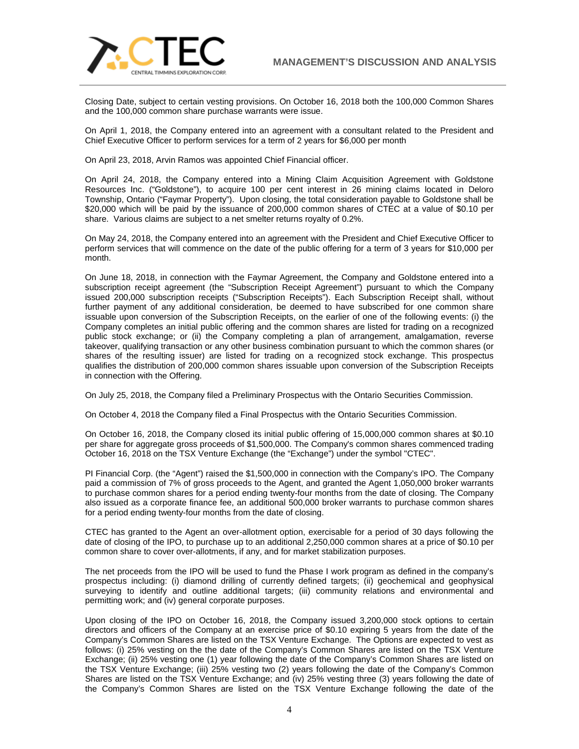

Closing Date, subject to certain vesting provisions. On October 16, 2018 both the 100,000 Common Shares and the 100,000 common share purchase warrants were issue.

On April 1, 2018, the Company entered into an agreement with a consultant related to the President and Chief Executive Officer to perform services for a term of 2 years for \$6,000 per month

On April 23, 2018, Arvin Ramos was appointed Chief Financial officer.

On April 24, 2018, the Company entered into a Mining Claim Acquisition Agreement with Goldstone Resources Inc. ("Goldstone"), to acquire 100 per cent interest in 26 mining claims located in Deloro Township, Ontario ("Faymar Property"). Upon closing, the total consideration payable to Goldstone shall be \$20,000 which will be paid by the issuance of 200,000 common shares of CTEC at a value of \$0.10 per share. Various claims are subject to a net smelter returns royalty of 0.2%.

On May 24, 2018, the Company entered into an agreement with the President and Chief Executive Officer to perform services that will commence on the date of the public offering for a term of 3 years for \$10,000 per month.

On June 18, 2018, in connection with the Faymar Agreement, the Company and Goldstone entered into a subscription receipt agreement (the "Subscription Receipt Agreement") pursuant to which the Company issued 200,000 subscription receipts ("Subscription Receipts"). Each Subscription Receipt shall, without further payment of any additional consideration, be deemed to have subscribed for one common share issuable upon conversion of the Subscription Receipts, on the earlier of one of the following events: (i) the Company completes an initial public offering and the common shares are listed for trading on a recognized public stock exchange; or (ii) the Company completing a plan of arrangement, amalgamation, reverse takeover, qualifying transaction or any other business combination pursuant to which the common shares (or shares of the resulting issuer) are listed for trading on a recognized stock exchange. This prospectus qualifies the distribution of 200,000 common shares issuable upon conversion of the Subscription Receipts in connection with the Offering.

On July 25, 2018, the Company filed a Preliminary Prospectus with the Ontario Securities Commission.

On October 4, 2018 the Company filed a Final Prospectus with the Ontario Securities Commission.

On October 16, 2018, the Company closed its initial public offering of 15,000,000 common shares at \$0.10 per share for aggregate gross proceeds of \$1,500,000. The Company's common shares commenced trading October 16, 2018 on the TSX Venture Exchange (the "Exchange") under the symbol "CTEC".

PI Financial Corp. (the "Agent") raised the \$1,500,000 in connection with the Company's IPO. The Company paid a commission of 7% of gross proceeds to the Agent, and granted the Agent 1,050,000 broker warrants to purchase common shares for a period ending twenty-four months from the date of closing. The Company also issued as a corporate finance fee, an additional 500,000 broker warrants to purchase common shares for a period ending twenty-four months from the date of closing.

CTEC has granted to the Agent an over-allotment option, exercisable for a period of 30 days following the date of closing of the IPO, to purchase up to an additional 2,250,000 common shares at a price of \$0.10 per common share to cover over-allotments, if any, and for market stabilization purposes.

The net proceeds from the IPO will be used to fund the Phase I work program as defined in the company's prospectus including: (i) diamond drilling of currently defined targets; (ii) geochemical and geophysical surveying to identify and outline additional targets; (iii) community relations and environmental and permitting work; and (iv) general corporate purposes.

Upon closing of the IPO on October 16, 2018, the Company issued 3,200,000 stock options to certain directors and officers of the Company at an exercise price of \$0.10 expiring 5 years from the date of the Company's Common Shares are listed on the TSX Venture Exchange. The Options are expected to vest as follows: (i) 25% vesting on the the date of the Company's Common Shares are listed on the TSX Venture Exchange; (ii) 25% vesting one (1) year following the date of the Company's Common Shares are listed on the TSX Venture Exchange; (iii) 25% vesting two (2) years following the date of the Company's Common Shares are listed on the TSX Venture Exchange; and (iv) 25% vesting three (3) years following the date of the Company's Common Shares are listed on the TSX Venture Exchange following the date of the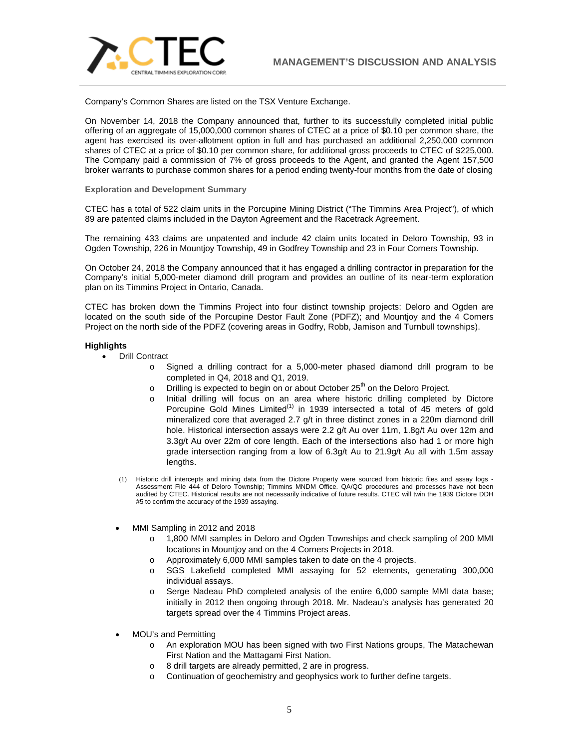

Company's Common Shares are listed on the TSX Venture Exchange.

On November 14, 2018 the Company announced that, further to its successfully completed initial public offering of an aggregate of 15,000,000 common shares of CTEC at a price of \$0.10 per common share, the agent has exercised its over-allotment option in full and has purchased an additional 2,250,000 common shares of CTEC at a price of \$0.10 per common share, for additional gross proceeds to CTEC of \$225,000. The Company paid a commission of 7% of gross proceeds to the Agent, and granted the Agent 157,500 broker warrants to purchase common shares for a period ending twenty-four months from the date of closing

## **Exploration and Development Summary**

CTEC has a total of 522 claim units in the Porcupine Mining District ("The Timmins Area Project"), of which 89 are patented claims included in the Dayton Agreement and the Racetrack Agreement.

The remaining 433 claims are unpatented and include 42 claim units located in Deloro Township, 93 in Ogden Township, 226 in Mountjoy Township, 49 in Godfrey Township and 23 in Four Corners Township.

On October 24, 2018 the Company announced that it has engaged a drilling contractor in preparation for the Company's initial 5,000-meter diamond drill program and provides an outline of its near-term exploration plan on its Timmins Project in Ontario, Canada.

CTEC has broken down the Timmins Project into four distinct township projects: Deloro and Ogden are located on the south side of the Porcupine Destor Fault Zone (PDFZ); and Mountjoy and the 4 Corners Project on the north side of the PDFZ (covering areas in Godfry, Robb, Jamison and Turnbull townships).

## **Highlights**

- Drill Contract
	- o Signed a drilling contract for a 5,000-meter phased diamond drill program to be completed in Q4, 2018 and Q1, 2019.
	- $\circ$  Drilling is expected to begin on or about October 25<sup>th</sup> on the Deloro Project.
	- o Initial drilling will focus on an area where historic drilling completed by Dictore Porcupine Gold Mines Limited<sup>(1)</sup> in 1939 intersected a total of 45 meters of gold mineralized core that averaged 2.7 g/t in three distinct zones in a 220m diamond drill hole. Historical intersection assays were 2.2 g/t Au over 11m, 1.8g/t Au over 12m and 3.3g/t Au over 22m of core length. Each of the intersections also had 1 or more high grade intersection ranging from a low of 6.3g/t Au to 21.9g/t Au all with 1.5m assay lengths.
	- (1) Historic drill intercepts and mining data from the Dictore Property were sourced from historic files and assay logs Assessment File 444 of Deloro Township; Timmins MNDM Office. QA/QC procedures and processes have not been audited by CTEC. Historical results are not necessarily indicative of future results. CTEC will twin the 1939 Dictore DDH #5 to confirm the accuracy of the 1939 assaying.
	- MMI Sampling in 2012 and 2018
		- o 1,800 MMI samples in Deloro and Ogden Townships and check sampling of 200 MMI locations in Mountjoy and on the 4 Corners Projects in 2018.
		- o Approximately 6,000 MMI samples taken to date on the 4 projects.
		- o SGS Lakefield completed MMI assaying for 52 elements, generating 300,000 individual assays.
		- o Serge Nadeau PhD completed analysis of the entire 6,000 sample MMI data base; initially in 2012 then ongoing through 2018. Mr. Nadeau's analysis has generated 20 targets spread over the 4 Timmins Project areas.
	- MOU's and Permitting
		- o An exploration MOU has been signed with two First Nations groups, The Matachewan First Nation and the Mattagami First Nation.
		- o 8 drill targets are already permitted, 2 are in progress.
		- Continuation of geochemistry and geophysics work to further define targets.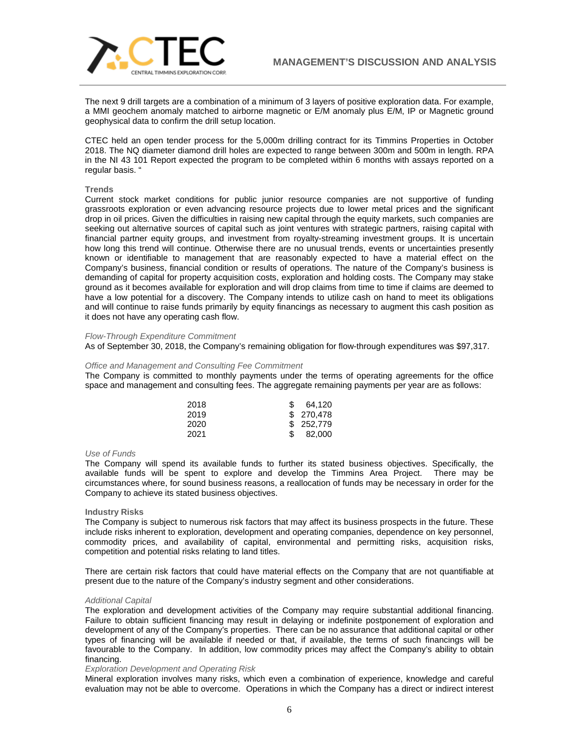

The next 9 drill targets are a combination of a minimum of 3 layers of positive exploration data. For example, a MMI geochem anomaly matched to airborne magnetic or E/M anomaly plus E/M, IP or Magnetic ground geophysical data to confirm the drill setup location.

CTEC held an open tender process for the 5,000m drilling contract for its Timmins Properties in October 2018. The NQ diameter diamond drill holes are expected to range between 300m and 500m in length. RPA in the NI 43 101 Report expected the program to be completed within 6 months with assays reported on a regular basis. "

# **Trends**

Current stock market conditions for public junior resource companies are not supportive of funding grassroots exploration or even advancing resource projects due to lower metal prices and the significant drop in oil prices. Given the difficulties in raising new capital through the equity markets, such companies are seeking out alternative sources of capital such as joint ventures with strategic partners, raising capital with financial partner equity groups, and investment from royalty-streaming investment groups. It is uncertain how long this trend will continue. Otherwise there are no unusual trends, events or uncertainties presently known or identifiable to management that are reasonably expected to have a material effect on the Company's business, financial condition or results of operations. The nature of the Company's business is demanding of capital for property acquisition costs, exploration and holding costs. The Company may stake ground as it becomes available for exploration and will drop claims from time to time if claims are deemed to have a low potential for a discovery. The Company intends to utilize cash on hand to meet its obligations and will continue to raise funds primarily by equity financings as necessary to augment this cash position as it does not have any operating cash flow.

#### *Flow-Through Expenditure Commitment*

As of September 30, 2018, the Company's remaining obligation for flow-through expenditures was \$97,317.

#### *Office and Management and Consulting Fee Commitment*

The Company is committed to monthly payments under the terms of operating agreements for the office space and management and consulting fees. The aggregate remaining payments per year are as follows:

| 2018 | 64.120     |
|------|------------|
| 2019 | \$ 270.478 |
| 2020 | \$ 252,779 |
| 2021 | 82.000     |

## *Use of Funds*

The Company will spend its available funds to further its stated business objectives. Specifically, the available funds will be spent to explore and develop the Timmins Area Project. There may be circumstances where, for sound business reasons, a reallocation of funds may be necessary in order for the Company to achieve its stated business objectives.

## **Industry Risks**

The Company is subject to numerous risk factors that may affect its business prospects in the future. These include risks inherent to exploration, development and operating companies, dependence on key personnel, commodity prices, and availability of capital, environmental and permitting risks, acquisition risks, competition and potential risks relating to land titles.

There are certain risk factors that could have material effects on the Company that are not quantifiable at present due to the nature of the Company's industry segment and other considerations.

## *Additional Capital*

The exploration and development activities of the Company may require substantial additional financing. Failure to obtain sufficient financing may result in delaying or indefinite postponement of exploration and development of any of the Company's properties. There can be no assurance that additional capital or other types of financing will be available if needed or that, if available, the terms of such financings will be favourable to the Company. In addition, low commodity prices may affect the Company's ability to obtain financing.

#### *Exploration Development and Operating Risk*

Mineral exploration involves many risks, which even a combination of experience, knowledge and careful evaluation may not be able to overcome. Operations in which the Company has a direct or indirect interest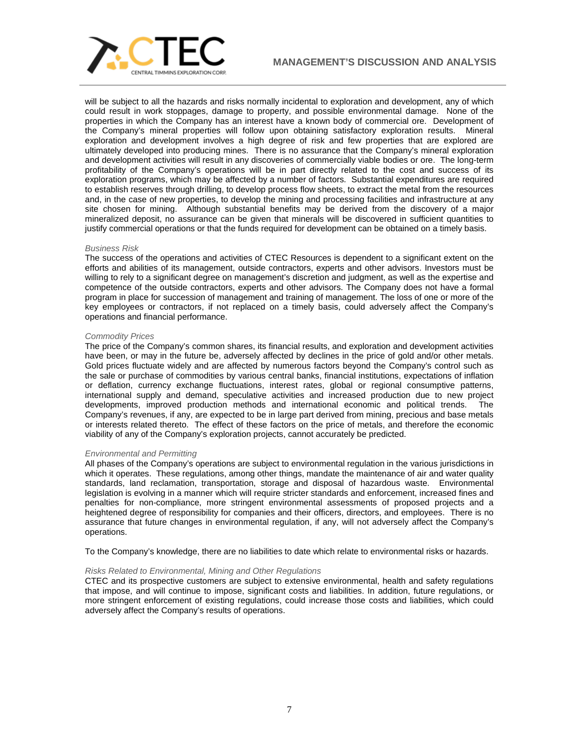

will be subject to all the hazards and risks normally incidental to exploration and development, any of which could result in work stoppages, damage to property, and possible environmental damage. None of the properties in which the Company has an interest have a known body of commercial ore. Development of the Company's mineral properties will follow upon obtaining satisfactory exploration results. Mineral exploration and development involves a high degree of risk and few properties that are explored are ultimately developed into producing mines. There is no assurance that the Company's mineral exploration and development activities will result in any discoveries of commercially viable bodies or ore. The long-term profitability of the Company's operations will be in part directly related to the cost and success of its exploration programs, which may be affected by a number of factors. Substantial expenditures are required to establish reserves through drilling, to develop process flow sheets, to extract the metal from the resources and, in the case of new properties, to develop the mining and processing facilities and infrastructure at any site chosen for mining. Although substantial benefits may be derived from the discovery of a major mineralized deposit, no assurance can be given that minerals will be discovered in sufficient quantities to justify commercial operations or that the funds required for development can be obtained on a timely basis.

#### *Business Risk*

The success of the operations and activities of CTEC Resources is dependent to a significant extent on the efforts and abilities of its management, outside contractors, experts and other advisors. Investors must be willing to rely to a significant degree on management's discretion and judgment, as well as the expertise and competence of the outside contractors, experts and other advisors. The Company does not have a formal program in place for succession of management and training of management. The loss of one or more of the key employees or contractors, if not replaced on a timely basis, could adversely affect the Company's operations and financial performance.

#### *Commodity Prices*

The price of the Company's common shares, its financial results, and exploration and development activities have been, or may in the future be, adversely affected by declines in the price of gold and/or other metals. Gold prices fluctuate widely and are affected by numerous factors beyond the Company's control such as the sale or purchase of commodities by various central banks, financial institutions, expectations of inflation or deflation, currency exchange fluctuations, interest rates, global or regional consumptive patterns, international supply and demand, speculative activities and increased production due to new project developments. Increased production methods and international economic and political trends. The developments, improved production methods and international economic and political trends. Company's revenues, if any, are expected to be in large part derived from mining, precious and base metals or interests related thereto. The effect of these factors on the price of metals, and therefore the economic viability of any of the Company's exploration projects, cannot accurately be predicted.

## *Environmental and Permitting*

All phases of the Company's operations are subject to environmental regulation in the various jurisdictions in which it operates. These regulations, among other things, mandate the maintenance of air and water quality standards, land reclamation, transportation, storage and disposal of hazardous waste. Environmental legislation is evolving in a manner which will require stricter standards and enforcement, increased fines and penalties for non-compliance, more stringent environmental assessments of proposed projects and a heightened degree of responsibility for companies and their officers, directors, and employees. There is no assurance that future changes in environmental regulation, if any, will not adversely affect the Company's operations.

To the Company's knowledge, there are no liabilities to date which relate to environmental risks or hazards.

#### *Risks Related to Environmental, Mining and Other Regulations*

CTEC and its prospective customers are subject to extensive environmental, health and safety regulations that impose, and will continue to impose, significant costs and liabilities. In addition, future regulations, or more stringent enforcement of existing regulations, could increase those costs and liabilities, which could adversely affect the Company's results of operations.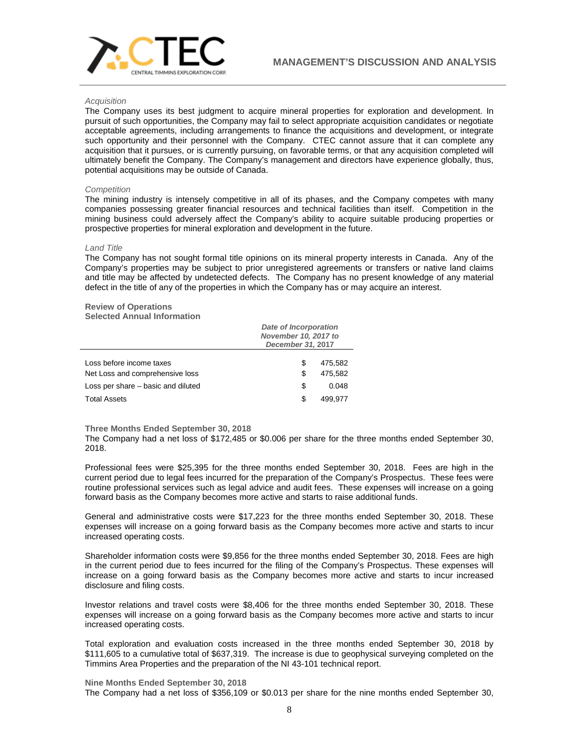

#### *Acquisition*

The Company uses its best judgment to acquire mineral properties for exploration and development. In pursuit of such opportunities, the Company may fail to select appropriate acquisition candidates or negotiate acceptable agreements, including arrangements to finance the acquisitions and development, or integrate such opportunity and their personnel with the Company. CTEC cannot assure that it can complete any acquisition that it pursues, or is currently pursuing, on favorable terms, or that any acquisition completed will ultimately benefit the Company. The Company's management and directors have experience globally, thus, potential acquisitions may be outside of Canada.

#### *Competition*

The mining industry is intensely competitive in all of its phases, and the Company competes with many companies possessing greater financial resources and technical facilities than itself. Competition in the mining business could adversely affect the Company's ability to acquire suitable producing properties or prospective properties for mineral exploration and development in the future.

#### *Land Title*

The Company has not sought formal title opinions on its mineral property interests in Canada. Any of the Company's properties may be subject to prior unregistered agreements or transfers or native land claims and title may be affected by undetected defects. The Company has no present knowledge of any material defect in the title of any of the properties in which the Company has or may acquire an interest.

#### **Review of Operations Selected Annual Information**

|                                                                       | <b>Date of Incorporation</b><br>November 10, 2017 to<br>December 31, 2017 |                  |
|-----------------------------------------------------------------------|---------------------------------------------------------------------------|------------------|
| Loss before income taxes                                              | S<br>S                                                                    | 475.582          |
| Net Loss and comprehensive loss<br>Loss per share – basic and diluted | S                                                                         | 475.582<br>0.048 |
| <b>Total Assets</b>                                                   | S                                                                         | 499.977          |

# **Three Months Ended September 30, 2018**

The Company had a net loss of \$172,485 or \$0.006 per share for the three months ended September 30, 2018.

Professional fees were \$25,395 for the three months ended September 30, 2018. Fees are high in the current period due to legal fees incurred for the preparation of the Company's Prospectus. These fees were routine professional services such as legal advice and audit fees. These expenses will increase on a going forward basis as the Company becomes more active and starts to raise additional funds.

General and administrative costs were \$17,223 for the three months ended September 30, 2018. These expenses will increase on a going forward basis as the Company becomes more active and starts to incur increased operating costs.

Shareholder information costs were \$9,856 for the three months ended September 30, 2018. Fees are high in the current period due to fees incurred for the filing of the Company's Prospectus. These expenses will increase on a going forward basis as the Company becomes more active and starts to incur increased disclosure and filing costs.

Investor relations and travel costs were \$8,406 for the three months ended September 30, 2018. These expenses will increase on a going forward basis as the Company becomes more active and starts to incur increased operating costs.

Total exploration and evaluation costs increased in the three months ended September 30, 2018 by \$111,605 to a cumulative total of \$637,319. The increase is due to geophysical surveying completed on the Timmins Area Properties and the preparation of the NI 43-101 technical report.

**Nine Months Ended September 30, 2018** The Company had a net loss of \$356,109 or \$0.013 per share for the nine months ended September 30,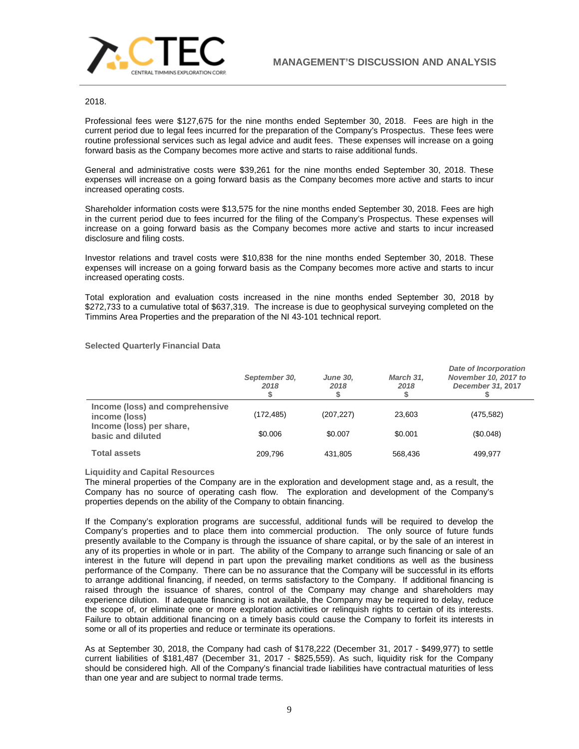

# 2018.

Professional fees were \$127,675 for the nine months ended September 30, 2018. Fees are high in the current period due to legal fees incurred for the preparation of the Company's Prospectus. These fees were routine professional services such as legal advice and audit fees. These expenses will increase on a going forward basis as the Company becomes more active and starts to raise additional funds.

General and administrative costs were \$39,261 for the nine months ended September 30, 2018. These expenses will increase on a going forward basis as the Company becomes more active and starts to incur increased operating costs.

Shareholder information costs were \$13,575 for the nine months ended September 30, 2018. Fees are high in the current period due to fees incurred for the filing of the Company's Prospectus. These expenses will increase on a going forward basis as the Company becomes more active and starts to incur increased disclosure and filing costs.

Investor relations and travel costs were \$10,838 for the nine months ended September 30, 2018. These expenses will increase on a going forward basis as the Company becomes more active and starts to incur increased operating costs.

Total exploration and evaluation costs increased in the nine months ended September 30, 2018 by \$272,733 to a cumulative total of \$637,319. The increase is due to geophysical surveying completed on the Timmins Area Properties and the preparation of the NI 43-101 technical report.

|                                                  | September 30,<br>2018 | <b>June 30,</b><br>2018 | March 31.<br>2018 | Date of Incorporation<br>November 10, 2017 to<br>December 31, 2017 |
|--------------------------------------------------|-----------------------|-------------------------|-------------------|--------------------------------------------------------------------|
| Income (loss) and comprehensive<br>income (loss) | (172, 485)            | (207, 227)              | 23.603            | (475, 582)                                                         |
| Income (loss) per share,<br>basic and diluted    | \$0,006               | \$0.007                 | \$0.001           | (\$0.048)                                                          |
| <b>Total assets</b>                              | 209.796               | 431.805                 | 568.436           | 499.977                                                            |

## **Liquidity and Capital Resources**

The mineral properties of the Company are in the exploration and development stage and, as a result, the Company has no source of operating cash flow. The exploration and development of the Company's properties depends on the ability of the Company to obtain financing.

If the Company's exploration programs are successful, additional funds will be required to develop the Company's properties and to place them into commercial production. The only source of future funds presently available to the Company is through the issuance of share capital, or by the sale of an interest in any of its properties in whole or in part. The ability of the Company to arrange such financing or sale of an interest in the future will depend in part upon the prevailing market conditions as well as the business performance of the Company. There can be no assurance that the Company will be successful in its efforts to arrange additional financing, if needed, on terms satisfactory to the Company. If additional financing is raised through the issuance of shares, control of the Company may change and shareholders may experience dilution. If adequate financing is not available, the Company may be required to delay, reduce the scope of, or eliminate one or more exploration activities or relinquish rights to certain of its interests. Failure to obtain additional financing on a timely basis could cause the Company to forfeit its interests in some or all of its properties and reduce or terminate its operations.

As at September 30, 2018, the Company had cash of \$178,222 (December 31, 2017 - \$499,977) to settle current liabilities of \$181,487 (December 31, 2017 - \$825,559). As such, liquidity risk for the Company should be considered high. All of the Company's financial trade liabilities have contractual maturities of less than one year and are subject to normal trade terms.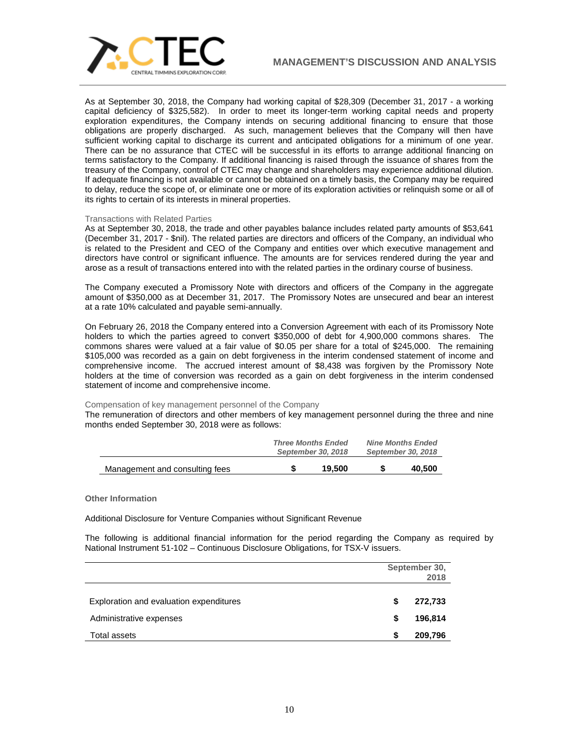

As at September 30, 2018, the Company had working capital of \$28,309 (December 31, 2017 - a working capital deficiency of \$325,582). In order to meet its longer-term working capital needs and property exploration expenditures, the Company intends on securing additional financing to ensure that those obligations are properly discharged. As such, management believes that the Company will then have sufficient working capital to discharge its current and anticipated obligations for a minimum of one year. There can be no assurance that CTEC will be successful in its efforts to arrange additional financing on terms satisfactory to the Company. If additional financing is raised through the issuance of shares from the treasury of the Company, control of CTEC may change and shareholders may experience additional dilution. If adequate financing is not available or cannot be obtained on a timely basis, the Company may be required to delay, reduce the scope of, or eliminate one or more of its exploration activities or relinquish some or all of its rights to certain of its interests in mineral properties.

## Transactions with Related Parties

As at September 30, 2018, the trade and other payables balance includes related party amounts of \$53,641 (December 31, 2017 - \$nil). The related parties are directors and officers of the Company, an individual who is related to the President and CEO of the Company and entities over which executive management and directors have control or significant influence. The amounts are for services rendered during the year and arose as a result of transactions entered into with the related parties in the ordinary course of business.

The Company executed a Promissory Note with directors and officers of the Company in the aggregate amount of \$350,000 as at December 31, 2017. The Promissory Notes are unsecured and bear an interest at a rate 10% calculated and payable semi-annually.

On February 26, 2018 the Company entered into a Conversion Agreement with each of its Promissory Note holders to which the parties agreed to convert \$350,000 of debt for 4,900,000 commons shares. The commons shares were valued at a fair value of \$0.05 per share for a total of \$245,000. The remaining \$105,000 was recorded as a gain on debt forgiveness in the interim condensed statement of income and comprehensive income. The accrued interest amount of \$8,438 was forgiven by the Promissory Note holders at the time of conversion was recorded as a gain on debt forgiveness in the interim condensed statement of income and comprehensive income.

# Compensation of key management personnel of the Company

The remuneration of directors and other members of key management personnel during the three and nine months ended September 30, 2018 were as follows:

|                                | <b>Three Months Ended</b><br>September 30, 2018 |        | <b>Nine Months Ended</b><br>September 30, 2018 |        |
|--------------------------------|-------------------------------------------------|--------|------------------------------------------------|--------|
| Management and consulting fees |                                                 | 19.500 |                                                | 40,500 |

**Other Information**

Additional Disclosure for Venture Companies without Significant Revenue

The following is additional financial information for the period regarding the Company as required by National Instrument 51-102 – Continuous Disclosure Obligations, for TSX-V issuers.

|                                         | September 30,<br>2018 |         |
|-----------------------------------------|-----------------------|---------|
| Exploration and evaluation expenditures | S                     | 272,733 |
| Administrative expenses                 | S                     | 196,814 |
| Total assets                            |                       | 209,796 |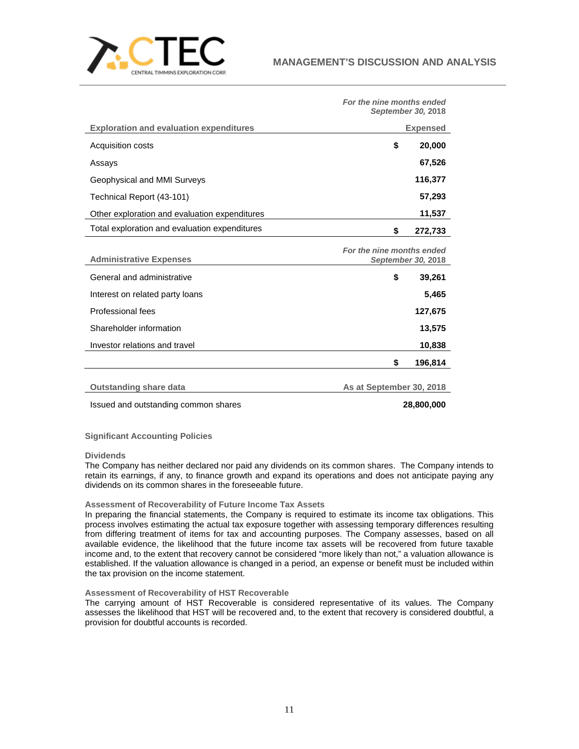

|                                                | For the nine months ended<br>September 30, 2018 |                 |
|------------------------------------------------|-------------------------------------------------|-----------------|
| <b>Exploration and evaluation expenditures</b> |                                                 | <b>Expensed</b> |
| Acquisition costs                              | \$                                              | 20,000          |
| Assays                                         |                                                 | 67,526          |
| Geophysical and MMI Surveys                    |                                                 | 116,377         |
| Technical Report (43-101)                      |                                                 | 57,293          |
| Other exploration and evaluation expenditures  |                                                 | 11,537          |
| Total exploration and evaluation expenditures  | \$                                              | 272,733         |
| <b>Administrative Expenses</b>                 | For the nine months ended<br>September 30, 2018 |                 |
| General and administrative                     | \$                                              | 39,261          |
| Interest on related party loans                |                                                 | 5,465           |
| Professional fees                              |                                                 | 127,675         |
| Shareholder information                        |                                                 | 13,575          |
| Investor relations and travel                  |                                                 | 10,838          |
|                                                | \$                                              | 196,814         |
| <b>Outstanding share data</b>                  | As at September 30, 2018                        |                 |
| Issued and outstanding common shares           |                                                 | 28,800,000      |

**Significant Accounting Policies**

**Dividends**

The Company has neither declared nor paid any dividends on its common shares. The Company intends to retain its earnings, if any, to finance growth and expand its operations and does not anticipate paying any dividends on its common shares in the foreseeable future.

# **Assessment of Recoverability of Future Income Tax Assets**

In preparing the financial statements, the Company is required to estimate its income tax obligations. This process involves estimating the actual tax exposure together with assessing temporary differences resulting from differing treatment of items for tax and accounting purposes. The Company assesses, based on all available evidence, the likelihood that the future income tax assets will be recovered from future taxable income and, to the extent that recovery cannot be considered "more likely than not," a valuation allowance is established. If the valuation allowance is changed in a period, an expense or benefit must be included within the tax provision on the income statement.

# **Assessment of Recoverability of HST Recoverable**

The carrying amount of HST Recoverable is considered representative of its values. The Company assesses the likelihood that HST will be recovered and, to the extent that recovery is considered doubtful, a provision for doubtful accounts is recorded.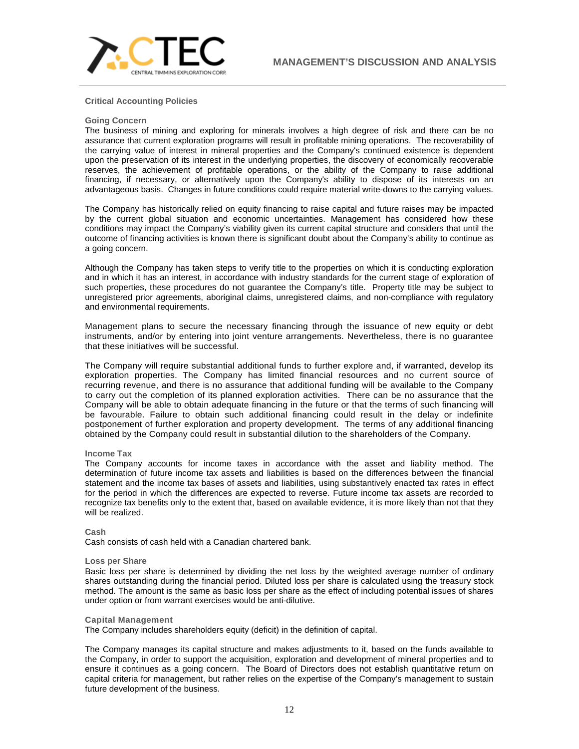

# **Critical Accounting Policies**

#### **Going Concern**

The business of mining and exploring for minerals involves a high degree of risk and there can be no assurance that current exploration programs will result in profitable mining operations. The recoverability of the carrying value of interest in mineral properties and the Company's continued existence is dependent upon the preservation of its interest in the underlying properties, the discovery of economically recoverable reserves, the achievement of profitable operations, or the ability of the Company to raise additional financing, if necessary, or alternatively upon the Company's ability to dispose of its interests on an advantageous basis. Changes in future conditions could require material write-downs to the carrying values.

The Company has historically relied on equity financing to raise capital and future raises may be impacted by the current global situation and economic uncertainties. Management has considered how these conditions may impact the Company's viability given its current capital structure and considers that until the outcome of financing activities is known there is significant doubt about the Company's ability to continue as a going concern.

Although the Company has taken steps to verify title to the properties on which it is conducting exploration and in which it has an interest, in accordance with industry standards for the current stage of exploration of such properties, these procedures do not guarantee the Company's title. Property title may be subject to unregistered prior agreements, aboriginal claims, unregistered claims, and non-compliance with regulatory and environmental requirements.

Management plans to secure the necessary financing through the issuance of new equity or debt instruments, and/or by entering into joint venture arrangements. Nevertheless, there is no guarantee that these initiatives will be successful.

The Company will require substantial additional funds to further explore and, if warranted, develop its exploration properties. The Company has limited financial resources and no current source of recurring revenue, and there is no assurance that additional funding will be available to the Company to carry out the completion of its planned exploration activities. There can be no assurance that the Company will be able to obtain adequate financing in the future or that the terms of such financing will be favourable. Failure to obtain such additional financing could result in the delay or indefinite postponement of further exploration and property development. The terms of any additional financing obtained by the Company could result in substantial dilution to the shareholders of the Company.

## **Income Tax**

The Company accounts for income taxes in accordance with the asset and liability method. The determination of future income tax assets and liabilities is based on the differences between the financial statement and the income tax bases of assets and liabilities, using substantively enacted tax rates in effect for the period in which the differences are expected to reverse. Future income tax assets are recorded to recognize tax benefits only to the extent that, based on available evidence, it is more likely than not that they will be realized.

## **Cash**

Cash consists of cash held with a Canadian chartered bank.

#### **Loss per Share**

Basic loss per share is determined by dividing the net loss by the weighted average number of ordinary shares outstanding during the financial period. Diluted loss per share is calculated using the treasury stock method. The amount is the same as basic loss per share as the effect of including potential issues of shares under option or from warrant exercises would be anti-dilutive.

#### **Capital Management**

The Company includes shareholders equity (deficit) in the definition of capital.

The Company manages its capital structure and makes adjustments to it, based on the funds available to the Company, in order to support the acquisition, exploration and development of mineral properties and to ensure it continues as a going concern. The Board of Directors does not establish quantitative return on capital criteria for management, but rather relies on the expertise of the Company's management to sustain future development of the business.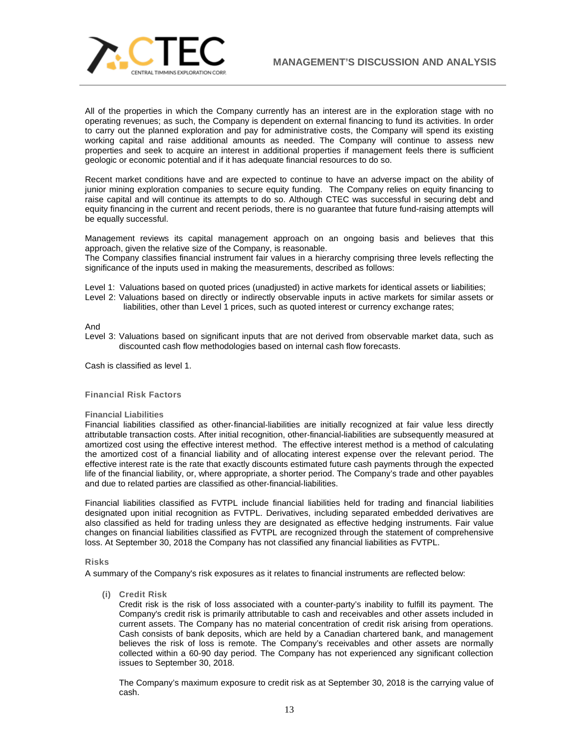

All of the properties in which the Company currently has an interest are in the exploration stage with no operating revenues; as such, the Company is dependent on external financing to fund its activities. In order to carry out the planned exploration and pay for administrative costs, the Company will spend its existing working capital and raise additional amounts as needed. The Company will continue to assess new properties and seek to acquire an interest in additional properties if management feels there is sufficient geologic or economic potential and if it has adequate financial resources to do so.

Recent market conditions have and are expected to continue to have an adverse impact on the ability of junior mining exploration companies to secure equity funding. The Company relies on equity financing to raise capital and will continue its attempts to do so. Although CTEC was successful in securing debt and equity financing in the current and recent periods, there is no guarantee that future fund-raising attempts will be equally successful.

Management reviews its capital management approach on an ongoing basis and believes that this approach, given the relative size of the Company, is reasonable.

The Company classifies financial instrument fair values in a hierarchy comprising three levels reflecting the significance of the inputs used in making the measurements, described as follows:

Level 1: Valuations based on quoted prices (unadjusted) in active markets for identical assets or liabilities;

Level 2: Valuations based on directly or indirectly observable inputs in active markets for similar assets or liabilities, other than Level 1 prices, such as quoted interest or currency exchange rates;

And

Level 3: Valuations based on significant inputs that are not derived from observable market data, such as discounted cash flow methodologies based on internal cash flow forecasts.

Cash is classified as level 1.

# **Financial Risk Factors**

## **Financial Liabilities**

Financial liabilities classified as other-financial-liabilities are initially recognized at fair value less directly attributable transaction costs. After initial recognition, other‐financial-liabilities are subsequently measured at amortized cost using the effective interest method. The effective interest method is a method of calculating the amortized cost of a financial liability and of allocating interest expense over the relevant period. The effective interest rate is the rate that exactly discounts estimated future cash payments through the expected life of the financial liability, or, where appropriate, a shorter period. The Company's trade and other payables and due to related parties are classified as other‐financial‐liabilities.

Financial liabilities classified as FVTPL include financial liabilities held for trading and financial liabilities designated upon initial recognition as FVTPL. Derivatives, including separated embedded derivatives are also classified as held for trading unless they are designated as effective hedging instruments. Fair value changes on financial liabilities classified as FVTPL are recognized through the statement of comprehensive loss. At September 30, 2018 the Company has not classified any financial liabilities as FVTPL.

## **Risks**

A summary of the Company's risk exposures as it relates to financial instruments are reflected below:

**(i) Credit Risk**

Credit risk is the risk of loss associated with a counter-party's inability to fulfill its payment. The Company's credit risk is primarily attributable to cash and receivables and other assets included in current assets. The Company has no material concentration of credit risk arising from operations. Cash consists of bank deposits, which are held by a Canadian chartered bank, and management believes the risk of loss is remote. The Company's receivables and other assets are normally collected within a 60-90 day period. The Company has not experienced any significant collection issues to September 30, 2018.

The Company's maximum exposure to credit risk as at September 30, 2018 is the carrying value of cash.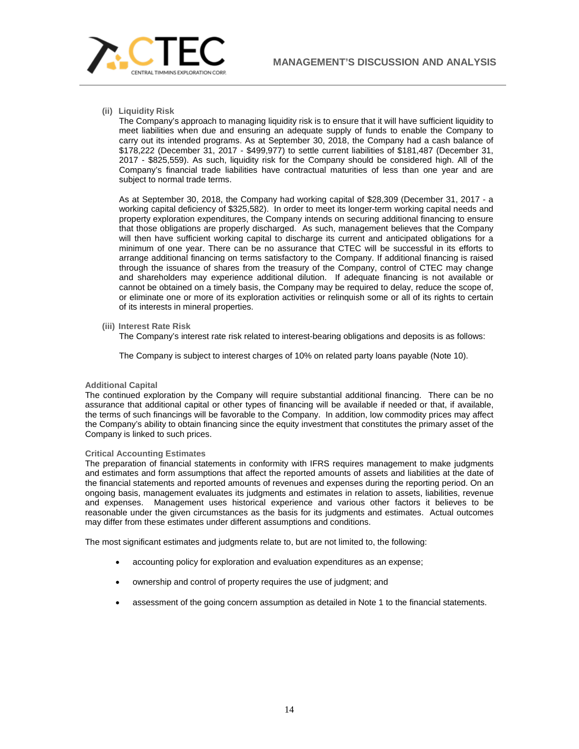

# **(ii) Liquidity Risk**

The Company's approach to managing liquidity risk is to ensure that it will have sufficient liquidity to meet liabilities when due and ensuring an adequate supply of funds to enable the Company to carry out its intended programs. As at September 30, 2018, the Company had a cash balance of \$178,222 (December 31, 2017 - \$499,977) to settle current liabilities of \$181,487 (December 31, 2017 - \$825,559). As such, liquidity risk for the Company should be considered high. All of the Company's financial trade liabilities have contractual maturities of less than one year and are subject to normal trade terms.

As at September 30, 2018, the Company had working capital of \$28,309 (December 31, 2017 - a working capital deficiency of \$325,582). In order to meet its longer-term working capital needs and property exploration expenditures, the Company intends on securing additional financing to ensure that those obligations are properly discharged. As such, management believes that the Company will then have sufficient working capital to discharge its current and anticipated obligations for a minimum of one year. There can be no assurance that CTEC will be successful in its efforts to arrange additional financing on terms satisfactory to the Company. If additional financing is raised through the issuance of shares from the treasury of the Company, control of CTEC may change and shareholders may experience additional dilution. If adequate financing is not available or cannot be obtained on a timely basis, the Company may be required to delay, reduce the scope of, or eliminate one or more of its exploration activities or relinquish some or all of its rights to certain of its interests in mineral properties.

## **(iii) Interest Rate Risk**

The Company's interest rate risk related to interest-bearing obligations and deposits is as follows:

The Company is subject to interest charges of 10% on related party loans payable (Note 10).

## **Additional Capital**

The continued exploration by the Company will require substantial additional financing. There can be no assurance that additional capital or other types of financing will be available if needed or that, if available, the terms of such financings will be favorable to the Company. In addition, low commodity prices may affect the Company's ability to obtain financing since the equity investment that constitutes the primary asset of the Company is linked to such prices.

## **Critical Accounting Estimates**

The preparation of financial statements in conformity with IFRS requires management to make judgments and estimates and form assumptions that affect the reported amounts of assets and liabilities at the date of the financial statements and reported amounts of revenues and expenses during the reporting period. On an ongoing basis, management evaluates its judgments and estimates in relation to assets, liabilities, revenue and expenses. Management uses historical experience and various other factors it believes to be reasonable under the given circumstances as the basis for its judgments and estimates. Actual outcomes may differ from these estimates under different assumptions and conditions.

The most significant estimates and judgments relate to, but are not limited to, the following:

- accounting policy for exploration and evaluation expenditures as an expense;
- ownership and control of property requires the use of judgment; and
- assessment of the going concern assumption as detailed in Note 1 to the financial statements.